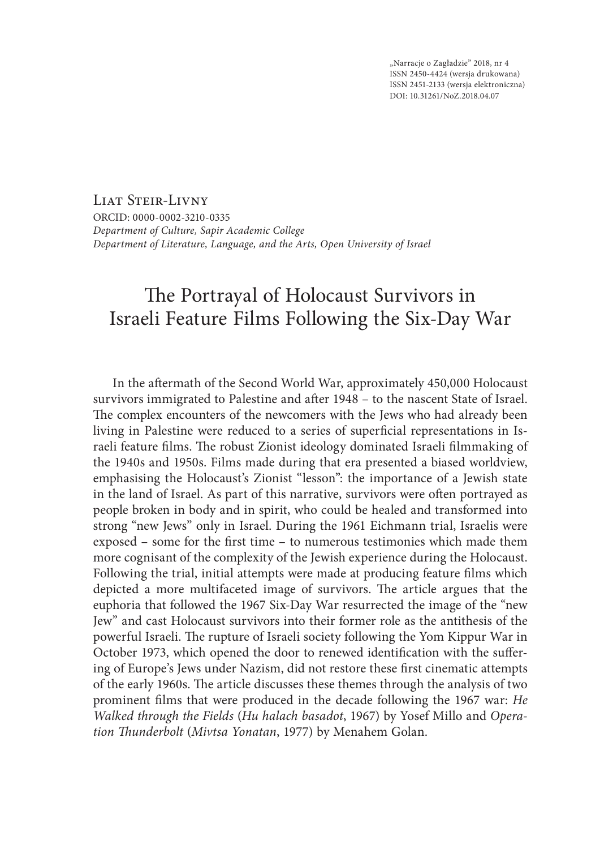"Narracje o Zagładzie" 2018, nr 4 ISSN 2450‑4424 (wersja drukowana) ISSN 2451‑2133 (wersja elektroniczna) DOI: 10.31261/NoZ.2018.04.07

LIAT STEIR-LIVNY ORCID: 0000-0002-3210-0335 *Department of Culture, Sapir Academic College Department of Literature, Language, and the Arts, Open University of Israel*

# The Portrayal of Holocaust Survivors in Israeli Feature Films Following the Six‑Day War

In the aftermath of the Second World War, approximately 450,000 Holocaust survivors immigrated to Palestine and after 1948 – to the nascent State of Israel. The complex encounters of the newcomers with the Jews who had already been living in Palestine were reduced to a series of superficial representations in Israeli feature films. The robust Zionist ideology dominated Israeli filmmaking of the 1940s and 1950s. Films made during that era presented a biased worldview, emphasising the Holocaust's Zionist "lesson": the importance of a Jewish state in the land of Israel. As part of this narrative, survivors were often portrayed as people broken in body and in spirit, who could be healed and transformed into strong "new Jews" only in Israel. During the 1961 Eichmann trial, Israelis were exposed – some for the first time – to numerous testimonies which made them more cognisant of the complexity of the Jewish experience during the Holocaust. Following the trial, initial attempts were made at producing feature films which depicted a more multifaceted image of survivors. The article argues that the euphoria that followed the 1967 Six‑Day War resurrected the image of the "new Jew" and cast Holocaust survivors into their former role as the antithesis of the powerful Israeli. The rupture of Israeli society following the Yom Kippur War in October 1973, which opened the door to renewed identification with the suffering of Europe's Jews under Nazism, did not restore these first cinematic attempts of the early 1960s. The article discusses these themes through the analysis of two prominent films that were produced in the decade following the 1967 war: *He Walked through the Fields* (*Hu halach basadot*, 1967) by Yosef Millo and *Operation Thunderbolt* (*Mivtsa Yonatan*, 1977) by Menahem Golan.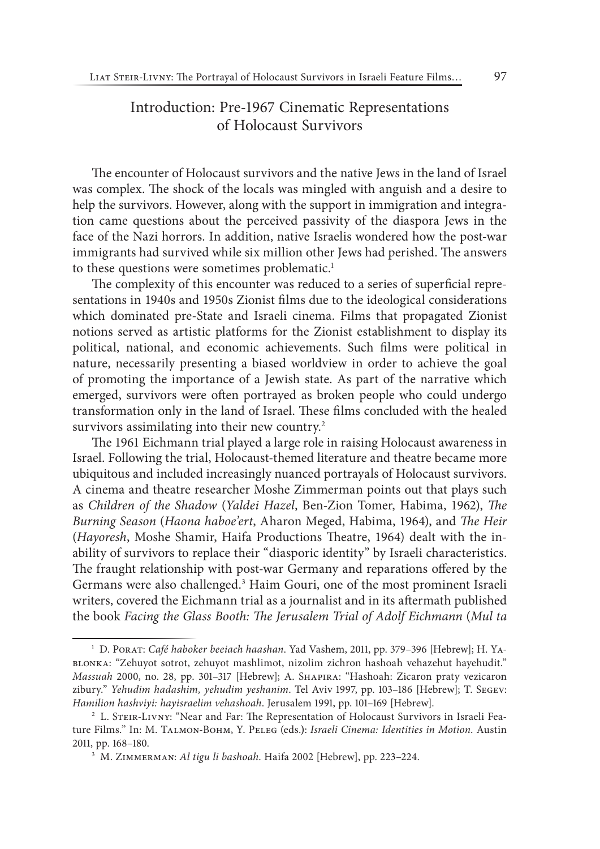## Introduction: Pre‑1967 Cinematic Representations of Holocaust Survivors

The encounter of Holocaust survivors and the native Jews in the land of Israel was complex. The shock of the locals was mingled with anguish and a desire to help the survivors. However, along with the support in immigration and integration came questions about the perceived passivity of the diaspora Jews in the face of the Nazi horrors. In addition, native Israelis wondered how the post-war immigrants had survived while six million other Jews had perished. The answers to these questions were sometimes problematic.<sup>1</sup>

The complexity of this encounter was reduced to a series of superficial representations in 1940s and 1950s Zionist films due to the ideological considerations which dominated pre‑State and Israeli cinema. Films that propagated Zionist notions served as artistic platforms for the Zionist establishment to display its political, national, and economic achievements. Such films were political in nature, necessarily presenting a biased worldview in order to achieve the goal of promoting the importance of a Jewish state. As part of the narrative which emerged, survivors were often portrayed as broken people who could undergo transformation only in the land of Israel. These films concluded with the healed survivors assimilating into their new country.<sup>2</sup>

The 1961 Eichmann trial played a large role in raising Holocaust awareness in Israel. Following the trial, Holocaust-themed literature and theatre became more ubiquitous and included increasingly nuanced portrayals of Holocaust survivors. A cinema and theatre researcher Moshe Zimmerman points out that plays such as *Children of the Shadow* (*Yaldei Hazel*, Ben‑Zion Tomer, Habima, 1962), *The Burning Season* (*Haona haboe'ert*, Aharon Meged, Habima, 1964), and *The Heir* (*Hayoresh*, Moshe Shamir, Haifa Productions Theatre, 1964) dealt with the inability of survivors to replace their "diasporic identity" by Israeli characteristics. The fraught relationship with post-war Germany and reparations offered by the Germans were also challenged.<sup>3</sup> Haim Gouri, one of the most prominent Israeli writers, covered the Eichmann trial as a journalist and in its aftermath published the book *Facing the Glass Booth: The Jerusalem Trial of Adolf Eichmann* (*Mul ta* 

<sup>1</sup> D. Porat: *Café haboker beeiach haashan*. Yad Vashem, 2011, pp. 379–396 [Hebrew]; H. Yablonka: "Zehuyot sotrot, zehuyot mashlimot, nizolim zichron hashoah vehazehut hayehudit." *Massuah* 2000, no. 28, pp. 301–317 [Hebrew]; A. Shapira: "Hashoah: Zicaron praty vezicaron zibury." *Yehudim hadashim, yehudim yeshanim*. Tel Aviv 1997, pp. 103–186 [Hebrew]; T. Segev: *Hamilion hashviyi: hayisraelim vehashoah*. Jerusalem 1991, pp. 101–169 [Hebrew].<br><sup>2</sup> L. Steir‑Livny: "Near and Far: The Representation of Holocaust Survivors in Israeli Fea-

ture Films." In: M. Talmon‑Bohm, Y. Peleg (eds.**)**: *Israeli Cinema: Identities in Motion*. Austin 2011, pp. 168–180. 3 M. Zimmerman: *Al tigu li bashoah*. Haifa 2002 [Hebrew], pp. 223–224.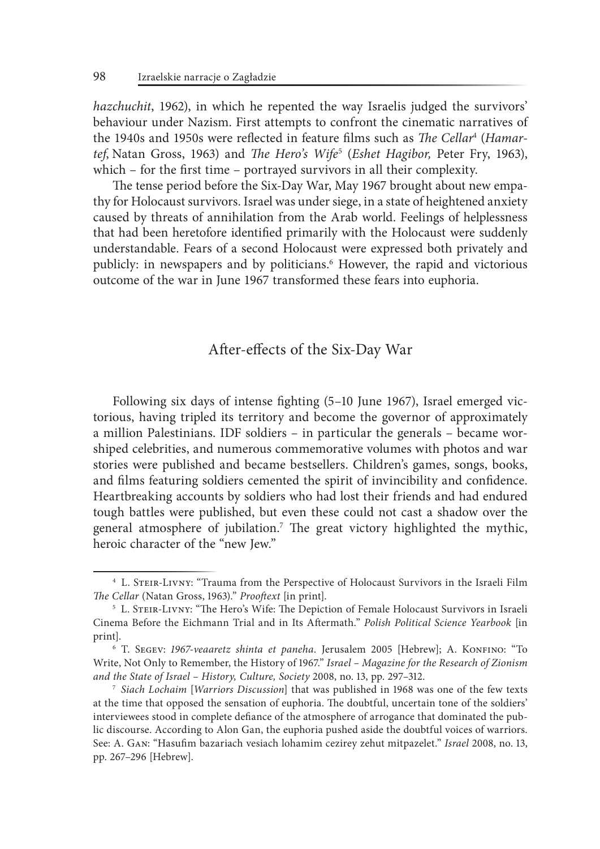*hazchuchit*, 1962), in which he repented the way Israelis judged the survivors' behaviour under Nazism. First attempts to confront the cinematic narratives of the 1940s and 1950s were reflected in feature films such as *The Cellar*<sup>4</sup> (*Hamartef*, Natan Gross, 1963) and *The Hero's Wife*<sup>5</sup> (*Eshet Hagibor,* Peter Fry, 1963), which – for the first time – portrayed survivors in all their complexity.

The tense period before the Six‑Day War, May 1967 brought about new empathy for Holocaust survivors. Israel was under siege, in a state of heightened anxiety caused by threats of annihilation from the Arab world. Feelings of helplessness that had been heretofore identified primarily with the Holocaust were suddenly understandable. Fears of a second Holocaust were expressed both privately and publicly: in newspapers and by politicians.<sup>6</sup> However, the rapid and victorious outcome of the war in June 1967 transformed these fears into euphoria.

## After‑effects of the Six‑Day War

Following six days of intense fighting (5–10 June 1967), Israel emerged victorious, having tripled its territory and become the governor of approximately a million Palestinians. IDF soldiers – in particular the generals – became worshiped celebrities, and numerous commemorative volumes with photos and war stories were published and became bestsellers. Children's games, songs, books, and films featuring soldiers cemented the spirit of invincibility and confidence. Heartbreaking accounts by soldiers who had lost their friends and had endured tough battles were published, but even these could not cast a shadow over the general atmosphere of jubilation.7 The great victory highlighted the mythic, heroic character of the "new Jew."

<sup>4</sup> L. Steir‑Livny: "Trauma from the Perspective of Holocaust Survivors in the Israeli Film *The Cellar* (Natan Gross, 1963)." *Prooftext* [in print].

<sup>&</sup>lt;sup>5</sup> L. STEIR-LIVNY: "The Hero's Wife: The Depiction of Female Holocaust Survivors in Israeli Cinema Before the Eichmann Trial and in Its Aftermath." *Polish Political Science Yearbook* [in print].

<sup>6</sup> T. Segev: *1967‑veaaretz shinta et paneha*. Jerusalem 2005 [Hebrew]; A. Konfino: "To Write, Not Only to Remember, the History of 1967." *Israel – Magazine for the Research of Zionism and the State of Israel – History, Culture, Society* 2008, no. 13, pp. 297–312.

<sup>7</sup> *Siach Lochaim* [*Warriors Discussion*] that was published in 1968 was one of the few texts at the time that opposed the sensation of euphoria. The doubtful, uncertain tone of the soldiers' interviewees stood in complete defiance of the atmosphere of arrogance that dominated the public discourse. According to Alon Gan, the euphoria pushed aside the doubtful voices of warriors. See: A. Gan: "Hasufim bazariach vesiach lohamim cezirey zehut mitpazelet." *Israel* 2008, no. 13, pp. 267–296 [Hebrew].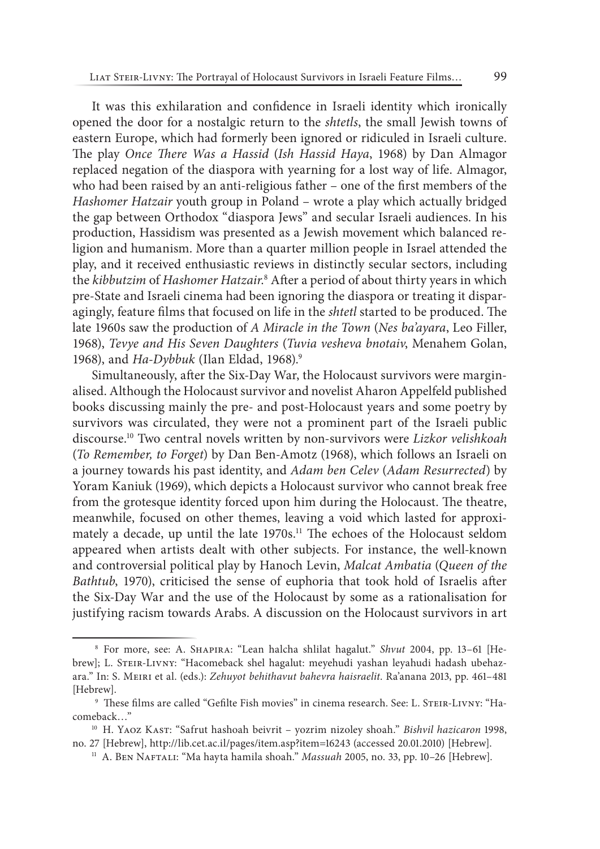It was this exhilaration and confidence in Israeli identity which ironically opened the door for a nostalgic return to the *shtetls*, the small Jewish towns of eastern Europe, which had formerly been ignored or ridiculed in Israeli culture. The play *Once There Was a Hassid* (*Ish Hassid Haya*, 1968) by Dan Almagor replaced negation of the diaspora with yearning for a lost way of life. Almagor, who had been raised by an anti-religious father – one of the first members of the *Hashomer Hatzair* youth group in Poland – wrote a play which actually bridged the gap between Orthodox "diaspora Jews" and secular Israeli audiences. In his production, Hassidism was presented as a Jewish movement which balanced religion and humanism. More than a quarter million people in Israel attended the play, and it received enthusiastic reviews in distinctly secular sectors, including the *kibbutzim* of *Hashomer Hatzair*. 8 After a period of about thirty years in which pre‑State and Israeli cinema had been ignoring the diaspora or treating it disparagingly, feature films that focused on life in the *shtetl* started to be produced. The late 1960s saw the production of *A Miracle in the Town* (*Nes ba'ayara*, Leo Filler, 1968), *Tevye and His Seven Daughters* (*Tuvia vesheva bnotaiv*, Menahem Golan, 1968), and *Ha‑Dybbuk* (Ilan Eldad, 1968).9

Simultaneously, after the Six‑Day War, the Holocaust survivors were marginalised. Although the Holocaust survivor and novelist Aharon Appelfeld published books discussing mainly the pre‑ and post‑Holocaust years and some poetry by survivors was circulated, they were not a prominent part of the Israeli public discourse.10 Two central novels written by non‑survivors were *Lizkor velishkoah* (*To Remember, to Forget*) by Dan Ben‑Amotz (1968), which follows an Israeli on a journey towards his past identity, and *Adam ben Celev* (*Adam Resurrected*) by Yoram Kaniuk (1969), which depicts a Holocaust survivor who cannot break free from the grotesque identity forced upon him during the Holocaust. The theatre, meanwhile, focused on other themes, leaving a void which lasted for approximately a decade, up until the late 1970s.<sup>11</sup> The echoes of the Holocaust seldom appeared when artists dealt with other subjects. For instance, the well-known and controversial political play by Hanoch Levin, *Malcat Ambatia* (*Queen of the Bathtub*, 1970), criticised the sense of euphoria that took hold of Israelis after the Six‑Day War and the use of the Holocaust by some as a rationalisation for justifying racism towards Arabs. A discussion on the Holocaust survivors in art

<sup>8</sup> For more, see: A. Shapira: "Lean halcha shlilat hagalut." *Shvut* 2004, pp. 13–61 [Hebrew]; L. STEIR-LIVNY: "Hacomeback shel hagalut: meyehudi yashan leyahudi hadash ubehazara." In: S. Meiri et al. (eds.): *Zehuyot behithavut bahevra haisraelit*. Ra'anana 2013, pp. 461–481 [Hebrew].

<sup>&</sup>lt;sup>9</sup> These films are called "Gefilte Fish movies" in cinema research. See: L. STEIR-LIVNY: "Hacomeback…"

<sup>10</sup> H. Yaoz Kast: "Safrut hashoah beivrit – yozrim nizoley shoah." *Bishvil hazicaron* 1998, no. 27 [Hebrew], http://lib.cet.ac.il/pages/item.asp?item=16243 (accessed 20.01.2010) [Hebrew].

<sup>&</sup>lt;sup>11</sup> A. BEN NAFTALI: "Ma hayta hamila shoah." *Massuah* 2005, no. 33, pp. 10-26 [Hebrew].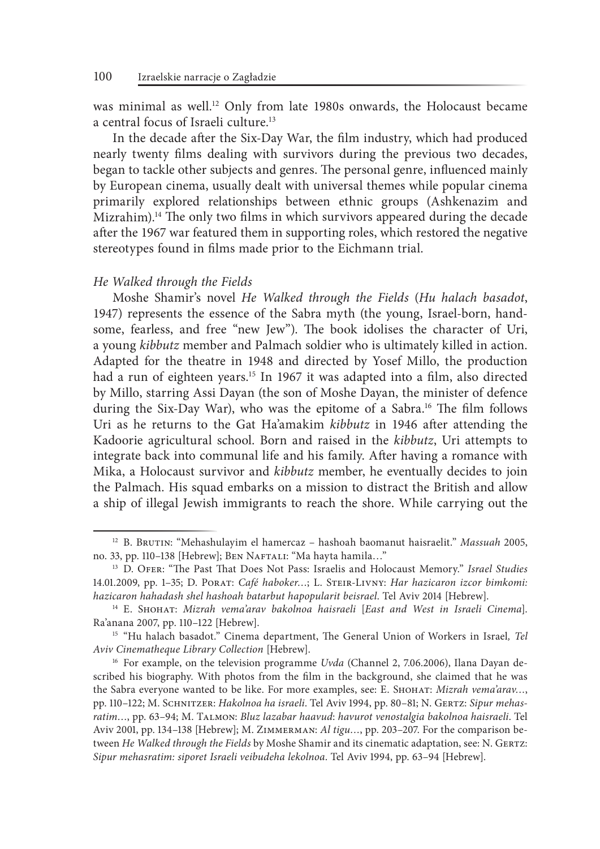was minimal as well.<sup>12</sup> Only from late 1980s onwards, the Holocaust became a central focus of Israeli culture.13

In the decade after the Six‑Day War, the film industry, which had produced nearly twenty films dealing with survivors during the previous two decades, began to tackle other subjects and genres. The personal genre, influenced mainly by European cinema, usually dealt with universal themes while popular cinema primarily explored relationships between ethnic groups (Ashkenazim and Mizrahim).<sup>14</sup> The only two films in which survivors appeared during the decade after the 1967 war featured them in supporting roles, which restored the negative stereotypes found in films made prior to the Eichmann trial.

#### *He Walked through the Fields*

Moshe Shamir's novel *He Walked through the Fields* (*Hu halach basadot*, 1947) represents the essence of the Sabra myth (the young, Israel-born, handsome, fearless, and free "new Jew"). The book idolises the character of Uri, a young *kibbutz* member and Palmach soldier who is ultimately killed in action. Adapted for the theatre in 1948 and directed by Yosef Millo, the production had a run of eighteen years.<sup>15</sup> In 1967 it was adapted into a film, also directed by Millo, starring Assi Dayan (the son of Moshe Dayan, the minister of defence during the Six-Day War), who was the epitome of a Sabra.<sup>16</sup> The film follows Uri as he returns to the Gat Ha'amakim *kibbutz* in 1946 after attending the Kadoorie agricultural school. Born and raised in the *kibbutz*, Uri attempts to integrate back into communal life and his family. After having a romance with Mika, a Holocaust survivor and *kibbutz* member, he eventually decides to join the Palmach. His squad embarks on a mission to distract the British and allow a ship of illegal Jewish immigrants to reach the shore. While carrying out the

<sup>12</sup> B. Brutin: "Mehashulayim el hamercaz – hashoah baomanut haisraelit." *Massuah* 2005, no. 33, pp. 110–138 [Hebrew]; Ben Naftali: "Ma hayta hamila…" 13 D. Ofer: "The Past That Does Not Pass: Israelis and Holocaust Memory." *Israel Studies*

<sup>14.01.2009,</sup> pp. 1–35; D. Porat: *Café haboker…*; L. Steir‑Livny: *Har hazicaron izcor bimkomi: hazicaron hahadash shel hashoah batarbut hapopularit beisrael*. Tel Aviv 2014 [Hebrew].

<sup>14</sup> E. Shohat: *Mizrah vema'arav bakolnoa haisraeli* [*East and West in Israeli Cinema*]. Ra'anana 2007, pp. 110–122 [Hebrew].

<sup>15</sup> "Hu halach basadot." Cinema department, The General Union of Workers in Israel*, Tel Aviv Cinematheque Library Collection* [Hebrew].

<sup>16</sup> For example, on the television programme *Uvda* (Channel 2, 7.06.2006), Ilana Dayan described his biography. With photos from the film in the background, she claimed that he was the Sabra everyone wanted to be like. For more examples, see: E. Shohat: *Mizrah vema'arav…*, pp. 110–122; M. Schnitzer: *Hakolnoa ha israeli*. Tel Aviv 1994, pp. 80–81; N. Gertz: *Sipur mehasratim…*, pp. 63–94; M. Talmon: *Bluz lazabar haavud*: *havurot venostalgia bakolnoa haisraeli*. Tel Aviv 2001, pp. 134–138 [Hebrew]; M. Zimmerman: *Al tigu…*, pp. 203–207. For the comparison between *He Walked through the Fields* by Moshe Shamir and its cinematic adaptation, see: N. GERTZ: *Sipur mehasratim: siporet Israeli veibudeha lekolnoa*. Tel Aviv 1994, pp. 63–94 [Hebrew].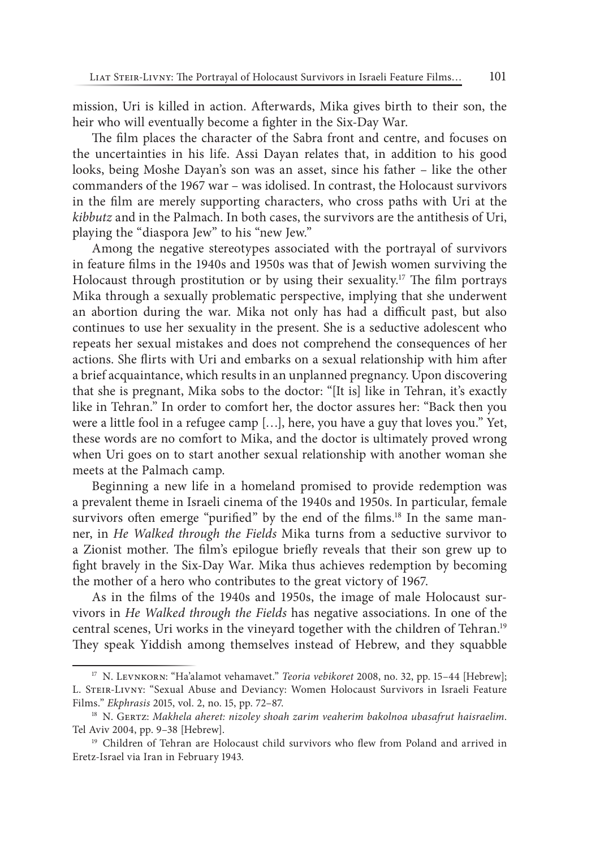mission, Uri is killed in action. Afterwards, Mika gives birth to their son, the heir who will eventually become a fighter in the Six-Day War.

The film places the character of the Sabra front and centre, and focuses on the uncertainties in his life. Assi Dayan relates that, in addition to his good looks, being Moshe Dayan's son was an asset, since his father – like the other commanders of the 1967 war – was idolised. In contrast, the Holocaust survivors in the film are merely supporting characters, who cross paths with Uri at the *kibbutz* and in the Palmach. In both cases, the survivors are the antithesis of Uri, playing the "diaspora Jew" to his "new Jew."

Among the negative stereotypes associated with the portrayal of survivors in feature films in the 1940s and 1950s was that of Jewish women surviving the Holocaust through prostitution or by using their sexuality.<sup>17</sup> The film portrays Mika through a sexually problematic perspective, implying that she underwent an abortion during the war. Mika not only has had a difficult past, but also continues to use her sexuality in the present. She is a seductive adolescent who repeats her sexual mistakes and does not comprehend the consequences of her actions. She flirts with Uri and embarks on a sexual relationship with him after a brief acquaintance, which results in an unplanned pregnancy. Upon discovering that she is pregnant, Mika sobs to the doctor: "[It is] like in Tehran, it's exactly like in Tehran." In order to comfort her, the doctor assures her: "Back then you were a little fool in a refugee camp […], here, you have a guy that loves you." Yet, these words are no comfort to Mika, and the doctor is ultimately proved wrong when Uri goes on to start another sexual relationship with another woman she meets at the Palmach camp.

Beginning a new life in a homeland promised to provide redemption was a prevalent theme in Israeli cinema of the 1940s and 1950s. In particular, female survivors often emerge "purified" by the end of the films.<sup>18</sup> In the same manner, in *He Walked through the Fields* Mika turns from a seductive survivor to a Zionist mother. The film's epilogue briefly reveals that their son grew up to fight bravely in the Six‑Day War. Mika thus achieves redemption by becoming the mother of a hero who contributes to the great victory of 1967.

As in the films of the 1940s and 1950s, the image of male Holocaust survivors in *He Walked through the Fields* has negative associations. In one of the central scenes, Uri works in the vineyard together with the children of Tehran.19 They speak Yiddish among themselves instead of Hebrew, and they squabble

<sup>17</sup> N. Levnkorn: "Ha'alamot vehamavet." *Teoria vebikoret* 2008, no. 32, pp. 15–44 [Hebrew]; L. Steir‑Livny: "Sexual Abuse and Deviancy: Women Holocaust Survivors in Israeli Feature Films." *Ekphrasis* 2015, vol. 2, no. 15, pp. 72–87.

<sup>&</sup>lt;sup>18</sup> N. GERTZ: Makhela aheret: nizoley shoah zarim veaherim bakolnoa ubasafrut haisraelim. Tel Aviv 2004, pp. 9–38 [Hebrew].

<sup>&</sup>lt;sup>19</sup> Children of Tehran are Holocaust child survivors who flew from Poland and arrived in Eretz‑Israel via Iran in February 1943.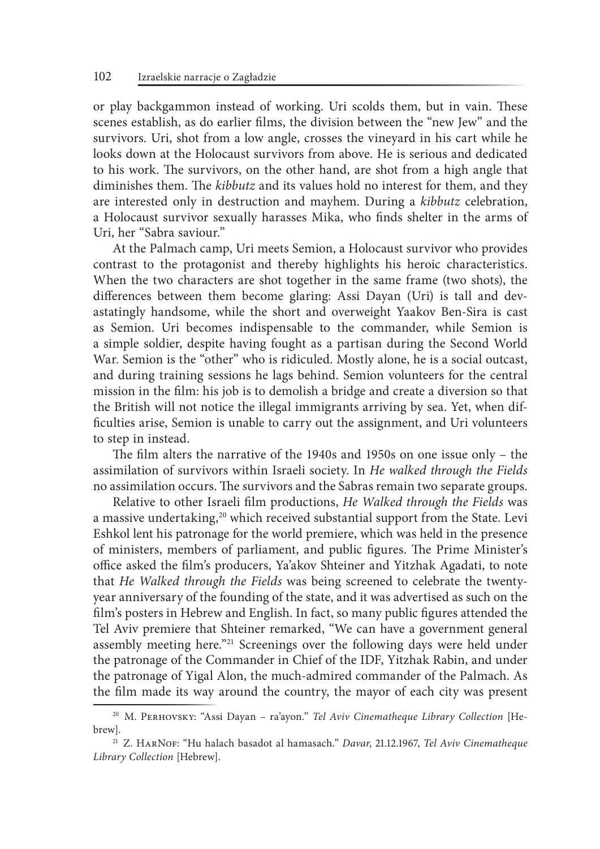or play backgammon instead of working. Uri scolds them, but in vain. These scenes establish, as do earlier films, the division between the "new Jew" and the survivors. Uri, shot from a low angle, crosses the vineyard in his cart while he looks down at the Holocaust survivors from above. He is serious and dedicated to his work. The survivors, on the other hand, are shot from a high angle that diminishes them. The *kibbutz* and its values hold no interest for them, and they are interested only in destruction and mayhem. During a *kibbutz* celebration, a Holocaust survivor sexually harasses Mika, who finds shelter in the arms of Uri, her "Sabra saviour."

At the Palmach camp, Uri meets Semion, a Holocaust survivor who provides contrast to the protagonist and thereby highlights his heroic characteristics. When the two characters are shot together in the same frame (two shots), the differences between them become glaring: Assi Dayan (Uri) is tall and devastatingly handsome, while the short and overweight Yaakov Ben‑Sira is cast as Semion. Uri becomes indispensable to the commander, while Semion is a simple soldier, despite having fought as a partisan during the Second World War. Semion is the "other" who is ridiculed. Mostly alone, he is a social outcast, and during training sessions he lags behind. Semion volunteers for the central mission in the film: his job is to demolish a bridge and create a diversion so that the British will not notice the illegal immigrants arriving by sea. Yet, when difficulties arise, Semion is unable to carry out the assignment, and Uri volunteers to step in instead.

The film alters the narrative of the 1940s and 1950s on one issue only – the assimilation of survivors within Israeli society. In *He walked through the Fields* no assimilation occurs. The survivors and the Sabras remain two separate groups.

Relative to other Israeli film productions, *He Walked through the Fields* was a massive undertaking,<sup>20</sup> which received substantial support from the State. Levi Eshkol lent his patronage for the world premiere, which was held in the presence of ministers, members of parliament, and public figures. The Prime Minister's office asked the film's producers, Ya'akov Shteiner and Yitzhak Agadati, to note that *He Walked through the Fields* was being screened to celebrate the twentyyear anniversary of the founding of the state, and it was advertised as such on the film's posters in Hebrew and English. In fact, so many public figures attended the Tel Aviv premiere that Shteiner remarked, "We can have a government general assembly meeting here."<sup>21</sup> Screenings over the following days were held under the patronage of the Commander in Chief of the IDF, Yitzhak Rabin, and under the patronage of Yigal Alon, the much‑admired commander of the Palmach. As the film made its way around the country, the mayor of each city was present

<sup>&</sup>lt;sup>20</sup> M. PERHOVSKY: "Assi Dayan - ra'ayon." *Tel Aviv Cinematheque Library Collection* [Hebrew].

<sup>21</sup> Z. HarNof: "Hu halach basadot al hamasach." *Davar*, 21.12.1967, *Tel Aviv Cinematheque Library Collection* [Hebrew].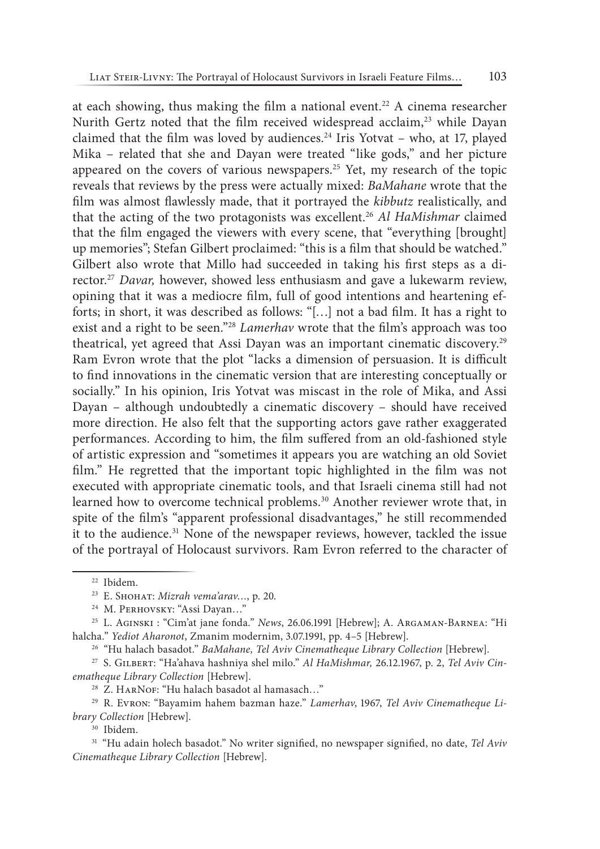at each showing, thus making the film a national event.<sup>22</sup> A cinema researcher Nurith Gertz noted that the film received widespread acclaim,<sup>23</sup> while Dayan claimed that the film was loved by audiences.<sup>24</sup> Iris Yotvat – who, at 17, played Mika – related that she and Dayan were treated "like gods," and her picture appeared on the covers of various newspapers.25 Yet, my research of the topic reveals that reviews by the press were actually mixed: *BaMahane* wrote that the film was almost flawlessly made, that it portrayed the *kibbutz* realistically, and that the acting of the two protagonists was excellent.26 *Al HaMishmar* claimed that the film engaged the viewers with every scene, that "everything [brought] up memories"; Stefan Gilbert proclaimed: "this is a film that should be watched." Gilbert also wrote that Millo had succeeded in taking his first steps as a director.27 *Davar,* however, showed less enthusiasm and gave a lukewarm review, opining that it was a mediocre film, full of good intentions and heartening efforts; in short, it was described as follows: "[…] not a bad film. It has a right to exist and a right to be seen."28 *Lamerhav* wrote that the film's approach was too theatrical, yet agreed that Assi Dayan was an important cinematic discovery.29 Ram Evron wrote that the plot "lacks a dimension of persuasion. It is difficult to find innovations in the cinematic version that are interesting conceptually or socially." In his opinion, Iris Yotvat was miscast in the role of Mika, and Assi Dayan - although undoubtedly a cinematic discovery - should have received more direction. He also felt that the supporting actors gave rather exaggerated performances. According to him, the film suffered from an old-fashioned style of artistic expression and "sometimes it appears you are watching an old Soviet film." He regretted that the important topic highlighted in the film was not executed with appropriate cinematic tools, and that Israeli cinema still had not learned how to overcome technical problems.<sup>30</sup> Another reviewer wrote that, in spite of the film's "apparent professional disadvantages," he still recommended it to the audience.<sup>31</sup> None of the newspaper reviews, however, tackled the issue of the portrayal of Holocaust survivors. Ram Evron referred to the character of

<sup>26</sup> "Hu halach basadot." *BaMahane, Tel Aviv Cinematheque Library Collection* [Hebrew].

<sup>27</sup> S. Gilbert: "Ha'ahava hashniya shel milo." *Al HaMishmar,* 26.12.1967, p. 2, *Tel Aviv Cinematheque Library Collection* [Hebrew].

<sup>28</sup> Z. HARNOF: "Hu halach basadot al hamasach..."

<sup>30</sup> Ibidem.

<sup>31</sup> "Hu adain holech basadot." No writer signified, no newspaper signified, no date, *Tel Aviv Cinematheque Library Collection* [Hebrew].

<sup>22</sup> Ibidem.

<sup>23</sup> E. Shohat: *Mizrah vema'arav…*, p. 20.

<sup>&</sup>lt;sup>24</sup> M. PERHOVSKY: "Assi Dayan..."

<sup>25</sup> L. Aginski : "Cim'at jane fonda." *News*, 26.06.1991 [Hebrew]; A. Argaman‑Barnea: "Hi halcha." *Yediot Aharonot*, Zmanim modernim, 3.07.1991, pp. 4–5 [Hebrew].

<sup>29</sup> R. Evron: "Bayamim hahem bazman haze." *Lamerhav*, 1967, *Tel Aviv Cinematheque Library Collection* [Hebrew].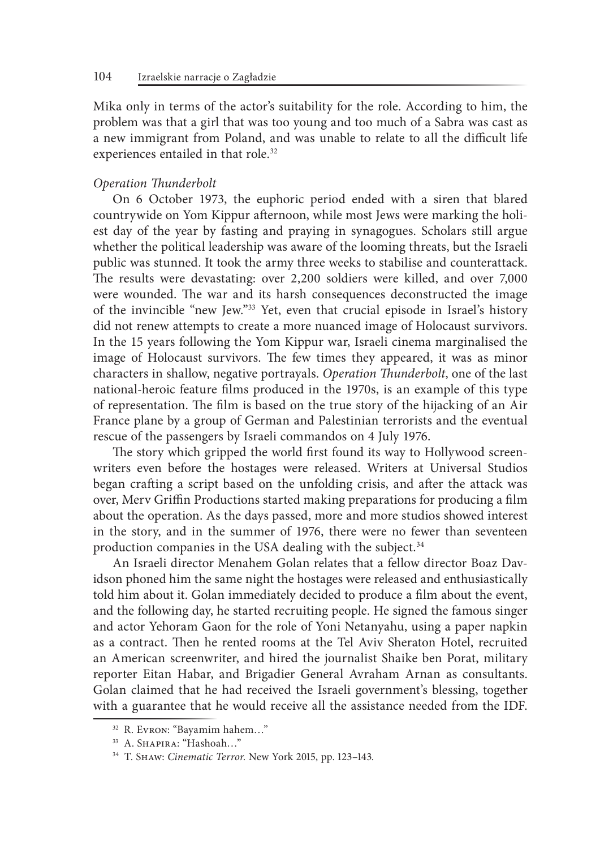Mika only in terms of the actor's suitability for the role. According to him, the problem was that a girl that was too young and too much of a Sabra was cast as a new immigrant from Poland, and was unable to relate to all the difficult life experiences entailed in that role.<sup>32</sup>

#### *Operation Thunderbolt*

On 6 October 1973, the euphoric period ended with a siren that blared countrywide on Yom Kippur afternoon, while most Jews were marking the holiest day of the year by fasting and praying in synagogues. Scholars still argue whether the political leadership was aware of the looming threats, but the Israeli public was stunned. It took the army three weeks to stabilise and counterattack. The results were devastating: over 2,200 soldiers were killed, and over 7,000 were wounded. The war and its harsh consequences deconstructed the image of the invincible "new Jew."33 Yet, even that crucial episode in Israel's history did not renew attempts to create a more nuanced image of Holocaust survivors. In the 15 years following the Yom Kippur war, Israeli cinema marginalised the image of Holocaust survivors. The few times they appeared, it was as minor characters in shallow, negative portrayals. *Operation Thunderbolt*, one of the last national-heroic feature films produced in the 1970s, is an example of this type of representation. The film is based on the true story of the hijacking of an Air France plane by a group of German and Palestinian terrorists and the eventual rescue of the passengers by Israeli commandos on 4 July 1976.

The story which gripped the world first found its way to Hollywood screenwriters even before the hostages were released. Writers at Universal Studios began crafting a script based on the unfolding crisis, and after the attack was over, Merv Griffin Productions started making preparations for producing a film about the operation. As the days passed, more and more studios showed interest in the story, and in the summer of 1976, there were no fewer than seventeen production companies in the USA dealing with the subject.<sup>34</sup>

An Israeli director Menahem Golan relates that a fellow director Boaz Davidson phoned him the same night the hostages were released and enthusiastically told him about it. Golan immediately decided to produce a film about the event, and the following day, he started recruiting people. He signed the famous singer and actor Yehoram Gaon for the role of Yoni Netanyahu, using a paper napkin as a contract. Then he rented rooms at the Tel Aviv Sheraton Hotel, recruited an American screenwriter, and hired the journalist Shaike ben Porat, military reporter Eitan Habar, and Brigadier General Avraham Arnan as consultants. Golan claimed that he had received the Israeli government's blessing, together with a guarantee that he would receive all the assistance needed from the IDF.

<sup>32</sup> R. Evron: "Bayamim hahem…"

<sup>33</sup> A. Shapira: "Hashoah…"

<sup>34</sup> T. Shaw: *Cinematic Terror*. New York 2015, pp. 123–143.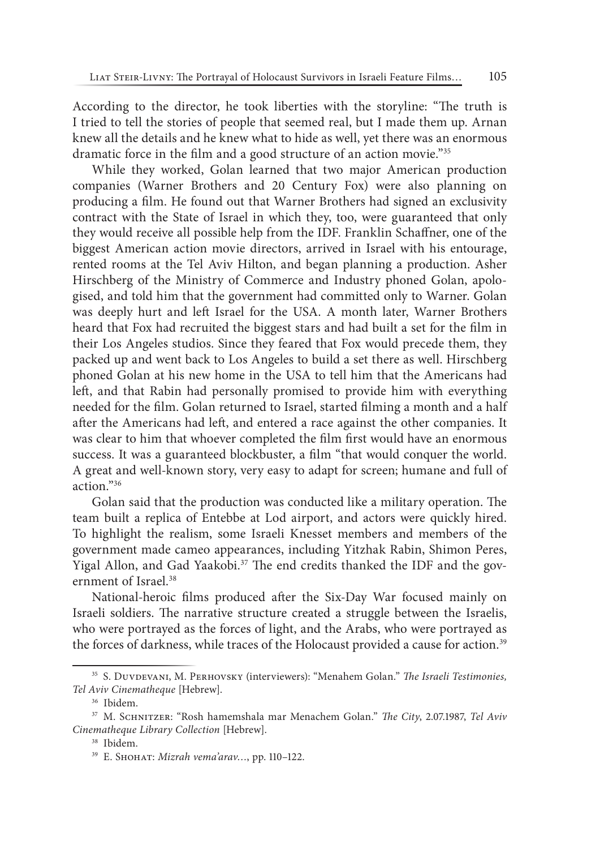According to the director, he took liberties with the storyline: "The truth is I tried to tell the stories of people that seemed real, but I made them up. Arnan knew all the details and he knew what to hide as well, yet there was an enormous dramatic force in the film and a good structure of an action movie."<sup>35</sup>

While they worked, Golan learned that two major American production companies (Warner Brothers and 20 Century Fox) were also planning on producing a film. He found out that Warner Brothers had signed an exclusivity contract with the State of Israel in which they, too, were guaranteed that only they would receive all possible help from the IDF. Franklin Schaffner, one of the biggest American action movie directors, arrived in Israel with his entourage, rented rooms at the Tel Aviv Hilton, and began planning a production. Asher Hirschberg of the Ministry of Commerce and Industry phoned Golan, apologised, and told him that the government had committed only to Warner. Golan was deeply hurt and left Israel for the USA. A month later, Warner Brothers heard that Fox had recruited the biggest stars and had built a set for the film in their Los Angeles studios. Since they feared that Fox would precede them, they packed up and went back to Los Angeles to build a set there as well. Hirschberg phoned Golan at his new home in the USA to tell him that the Americans had left, and that Rabin had personally promised to provide him with everything needed for the film. Golan returned to Israel, started filming a month and a half after the Americans had left, and entered a race against the other companies. It was clear to him that whoever completed the film first would have an enormous success. It was a guaranteed blockbuster, a film "that would conquer the world. A great and well-known story, very easy to adapt for screen; humane and full of action."36

Golan said that the production was conducted like a military operation. The team built a replica of Entebbe at Lod airport, and actors were quickly hired. To highlight the realism, some Israeli Knesset members and members of the government made cameo appearances, including Yitzhak Rabin, Shimon Peres, Yigal Allon, and Gad Yaakobi.<sup>37</sup> The end credits thanked the IDF and the government of Israel.38

National-heroic films produced after the Six-Day War focused mainly on Israeli soldiers. The narrative structure created a struggle between the Israelis, who were portrayed as the forces of light, and the Arabs, who were portrayed as the forces of darkness, while traces of the Holocaust provided a cause for action.<sup>39</sup>

<sup>35</sup> S. Duvdevani, M. Perhovsky (interviewers): "Menahem Golan." *The Israeli Testimonies, Tel Aviv Cinematheque* [Hebrew]. 36 Ibidem.

<sup>37</sup> M. Schnitzer: "Rosh hamemshala mar Menachem Golan." *The City*, 2.07.1987, *Tel Aviv Cinematheque Library Collection* [Hebrew].

<sup>38</sup> Ibidem.

<sup>&</sup>lt;sup>39</sup> Е. Sнонат: Mizrah vema'arav..., pp. 110-122.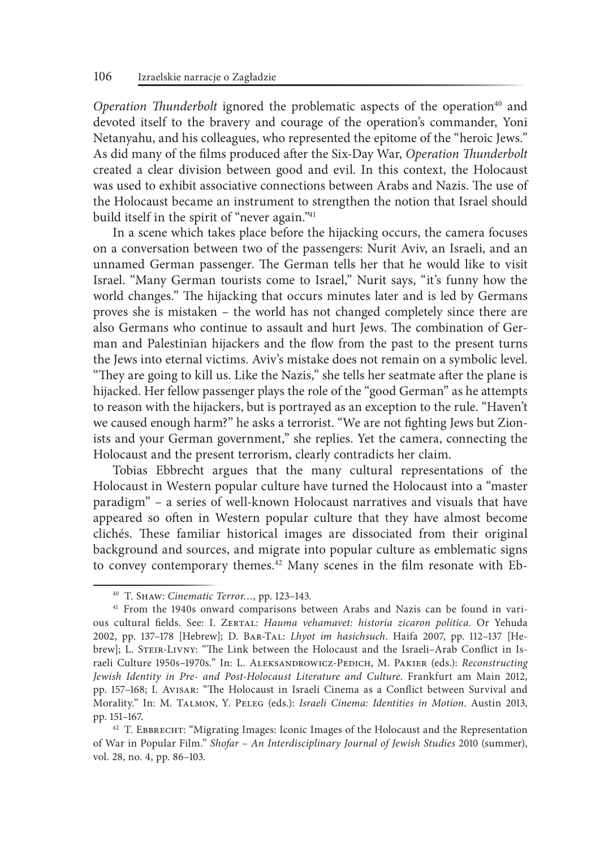*Operation Thunderbolt* ignored the problematic aspects of the operation<sup>40</sup> and devoted itself to the bravery and courage of the operation's commander, Yoni Netanyahu, and his colleagues, who represented the epitome of the "heroic Jews." As did many of the films produced after the Six‑Day War, *Operation Thunderbolt* created a clear division between good and evil. In this context, the Holocaust was used to exhibit associative connections between Arabs and Nazis. The use of the Holocaust became an instrument to strengthen the notion that Israel should build itself in the spirit of "never again."41

In a scene which takes place before the hijacking occurs, the camera focuses on a conversation between two of the passengers: Nurit Aviv, an Israeli, and an unnamed German passenger. The German tells her that he would like to visit Israel. "Many German tourists come to Israel," Nurit says, "it's funny how the world changes." The hijacking that occurs minutes later and is led by Germans proves she is mistaken – the world has not changed completely since there are also Germans who continue to assault and hurt Jews. The combination of German and Palestinian hijackers and the flow from the past to the present turns the Jews into eternal victims. Aviv's mistake does not remain on a symbolic level. "They are going to kill us. Like the Nazis," she tells her seatmate after the plane is hijacked. Her fellow passenger plays the role of the "good German" as he attempts to reason with the hijackers, but is portrayed as an exception to the rule. "Haven't we caused enough harm?" he asks a terrorist. "We are not fighting Jews but Zionists and your German government," she replies. Yet the camera, connecting the Holocaust and the present terrorism, clearly contradicts her claim.

Tobias Ebbrecht argues that the many cultural representations of the Holocaust in Western popular culture have turned the Holocaust into a "master paradigm" – a series of well-known Holocaust narratives and visuals that have appeared so often in Western popular culture that they have almost become clichés. These familiar historical images are dissociated from their original background and sources, and migrate into popular culture as emblematic signs to convey contemporary themes.<sup>42</sup> Many scenes in the film resonate with Eb-

<sup>40</sup> T. Shaw: *Cinematic Terror…*, pp. 123–143.

<sup>41</sup> From the 1940s onward comparisons between Arabs and Nazis can be found in various cultural fields. See: I. ZERTAL: *Hauma vehamavet: historia zicaron politica*. Or Yehuda 2002, pp. 137–178 [Hebrew]; D. Bar‑Tal: *Lhyot im hasichsuch*. Haifa 2007, pp. 112–137 [Hebrew]; L. STEIR-LIVNY: "The Link between the Holocaust and the Israeli-Arab Conflict in Israeli Culture 1950s–1970s." In: L. Aleksandrowicz‑Pedich, M. Pakier (eds.): *Reconstructing Jewish Identity in Pre‑ and Post‑Holocaust Literature and Culture*. Frankfurt am Main 2012, pp. 157–168; I. Avisar: "The Holocaust in Israeli Cinema as a Conflict between Survival and Morality." In: M. Talmon, Y. Peleg (eds.): *Israeli Cinema: Identities in Motion*. Austin 2013,

pp. 151–167.<br><sup>42</sup> T. Ebbrecht: "Migrating Images: Iconic Images of the Holocaust and the Representation of War in Popular Film." *Shofar – An Interdisciplinary Journal of Jewish Studies* 2010 (summer), vol. 28, no. 4, pp. 86–103.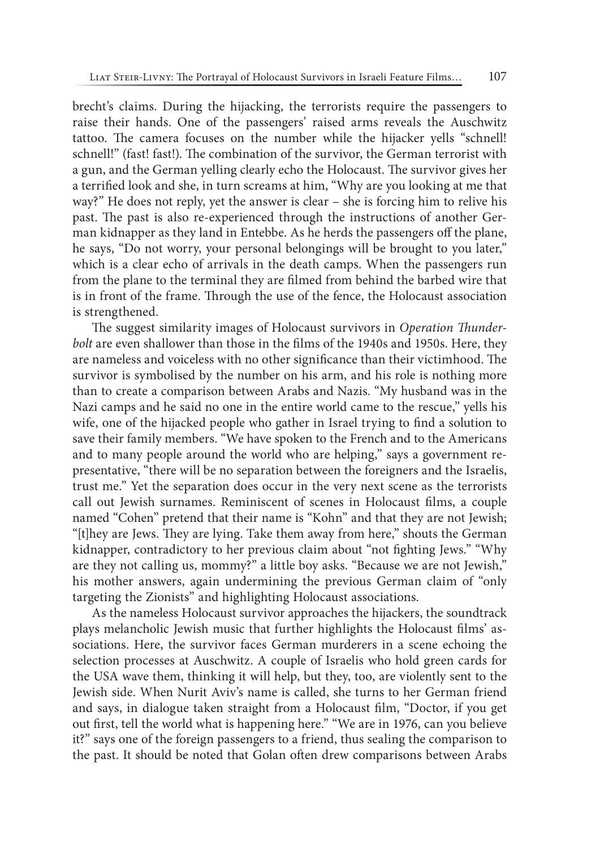brecht's claims. During the hijacking, the terrorists require the passengers to raise their hands. One of the passengers' raised arms reveals the Auschwitz tattoo. The camera focuses on the number while the hijacker yells "schnell! schnell!" (fast! fast!). The combination of the survivor, the German terrorist with a gun, and the German yelling clearly echo the Holocaust. The survivor gives her a terrified look and she, in turn screams at him, "Why are you looking at me that way?" He does not reply, yet the answer is clear – she is forcing him to relive his past. The past is also re‑experienced through the instructions of another German kidnapper as they land in Entebbe. As he herds the passengers off the plane, he says, "Do not worry, your personal belongings will be brought to you later," which is a clear echo of arrivals in the death camps. When the passengers run from the plane to the terminal they are filmed from behind the barbed wire that is in front of the frame. Through the use of the fence, the Holocaust association is strengthened.

The suggest similarity images of Holocaust survivors in *Operation Thunderbolt* are even shallower than those in the films of the 1940s and 1950s. Here, they are nameless and voiceless with no other significance than their victimhood. The survivor is symbolised by the number on his arm, and his role is nothing more than to create a comparison between Arabs and Nazis. "My husband was in the Nazi camps and he said no one in the entire world came to the rescue," yells his wife, one of the hijacked people who gather in Israel trying to find a solution to save their family members. "We have spoken to the French and to the Americans and to many people around the world who are helping," says a government representative, "there will be no separation between the foreigners and the Israelis, trust me." Yet the separation does occur in the very next scene as the terrorists call out Jewish surnames. Reminiscent of scenes in Holocaust films, a couple named "Cohen" pretend that their name is "Kohn" and that they are not Jewish; "[t]hey are Jews. They are lying. Take them away from here," shouts the German kidnapper, contradictory to her previous claim about "not fighting Jews." "Why are they not calling us, mommy?" a little boy asks. "Because we are not Jewish," his mother answers, again undermining the previous German claim of "only targeting the Zionists" and highlighting Holocaust associations.

As the nameless Holocaust survivor approaches the hijackers, the soundtrack plays melancholic Jewish music that further highlights the Holocaust films' associations. Here, the survivor faces German murderers in a scene echoing the selection processes at Auschwitz. A couple of Israelis who hold green cards for the USA wave them, thinking it will help, but they, too, are violently sent to the Jewish side. When Nurit Aviv's name is called, she turns to her German friend and says, in dialogue taken straight from a Holocaust film, "Doctor, if you get out first, tell the world what is happening here." "We are in 1976, can you believe it?" says one of the foreign passengers to a friend, thus sealing the comparison to the past. It should be noted that Golan often drew comparisons between Arabs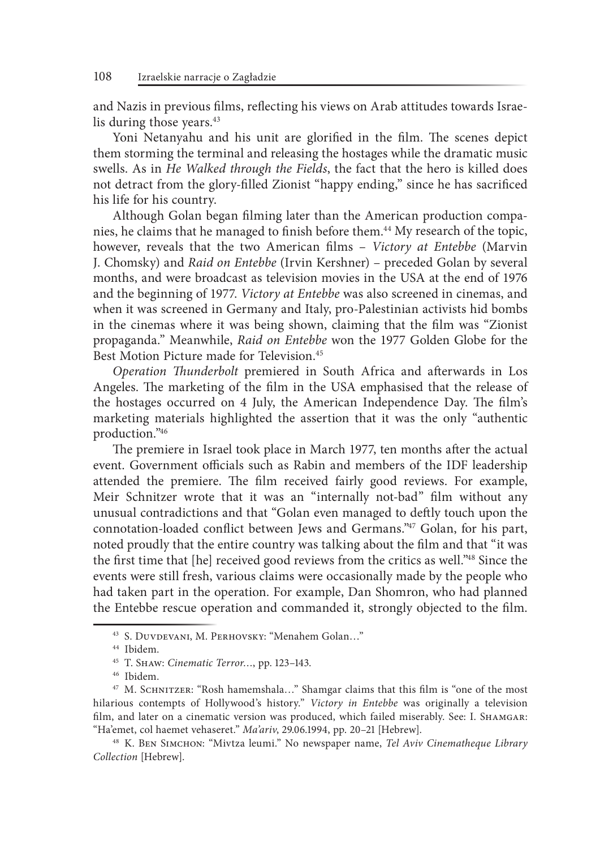and Nazis in previous films, reflecting his views on Arab attitudes towards Israelis during those years.<sup>43</sup>

Yoni Netanyahu and his unit are glorified in the film. The scenes depict them storming the terminal and releasing the hostages while the dramatic music swells. As in *He Walked through the Fields*, the fact that the hero is killed does not detract from the glory‑filled Zionist "happy ending," since he has sacrificed his life for his country.

Although Golan began filming later than the American production companies, he claims that he managed to finish before them.<sup>44</sup> My research of the topic, however, reveals that the two American films – *Victory at Entebbe* (Marvin J. Chomsky) and *Raid on Entebbe* (Irvin Kershner) – preceded Golan by several months, and were broadcast as television movies in the USA at the end of 1976 and the beginning of 1977. *Victory at Entebbe* was also screened in cinemas, and when it was screened in Germany and Italy, pro-Palestinian activists hid bombs in the cinemas where it was being shown, claiming that the film was "Zionist propaganda." Meanwhile, *Raid on Entebbe* won the 1977 Golden Globe for the Best Motion Picture made for Television.<sup>45</sup>

*Operation Thunderbolt* premiered in South Africa and afterwards in Los Angeles. The marketing of the film in the USA emphasised that the release of the hostages occurred on 4 July, the American Independence Day. The film's marketing materials highlighted the assertion that it was the only "authentic production."46

The premiere in Israel took place in March 1977, ten months after the actual event. Government officials such as Rabin and members of the IDF leadership attended the premiere. The film received fairly good reviews. For example, Meir Schnitzer wrote that it was an "internally not-bad" film without any unusual contradictions and that "Golan even managed to deftly touch upon the connotation-loaded conflict between Jews and Germans."47 Golan, for his part, noted proudly that the entire country was talking about the film and that "it was the first time that [he] received good reviews from the critics as well."48 Since the events were still fresh, various claims were occasionally made by the people who had taken part in the operation. For example, Dan Shomron, who had planned the Entebbe rescue operation and commanded it, strongly objected to the film.

<sup>43</sup> S. Duvdevani, M. Perhovsky: "Menahem Golan…"

<sup>44</sup> Ibidem.

<sup>45</sup> T. Shaw: *Cinematic Terror…*, pp. 123–143.

<sup>46</sup> Ibidem.

<sup>&</sup>lt;sup>47</sup> M. SCHNITZER: "Rosh hamemshala..." Shamgar claims that this film is "one of the most hilarious contempts of Hollywood's history." *Victory in Entebbe* was originally a television film, and later on a cinematic version was produced, which failed miserably. See: I. SHAMGAR: "Ha'emet, col haemet vehaseret." *Ma'ariv*, 29.06.1994, pp. 20–21 [Hebrew].

<sup>48</sup> K. Ben Simchon: "Mivtza leumi." No newspaper name, *Tel Aviv Cinematheque Library Collection* [Hebrew].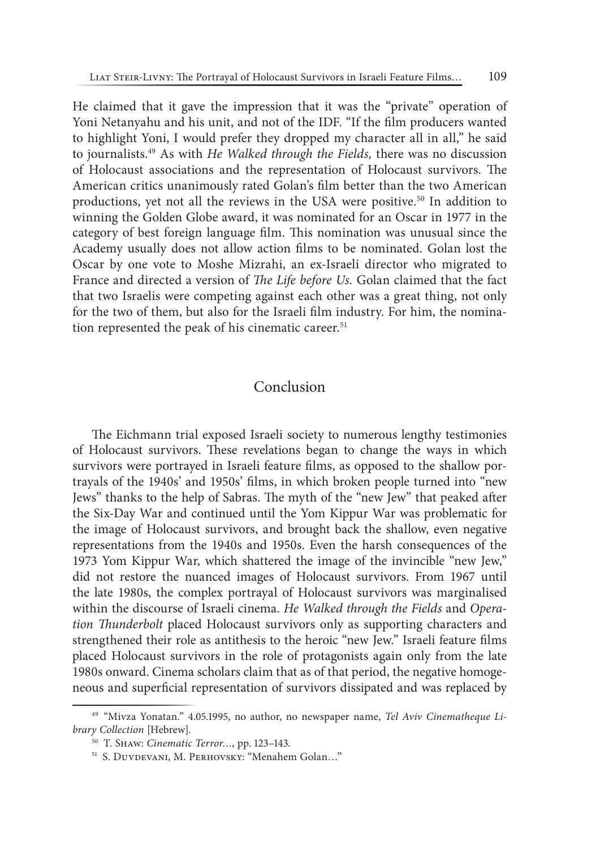He claimed that it gave the impression that it was the "private" operation of Yoni Netanyahu and his unit, and not of the IDF. "If the film producers wanted to highlight Yoni, I would prefer they dropped my character all in all," he said to journalists.49 As with *He Walked through the Fields,* there was no discussion of Holocaust associations and the representation of Holocaust survivors. The American critics unanimously rated Golan's film better than the two American productions, yet not all the reviews in the USA were positive.<sup>50</sup> In addition to winning the Golden Globe award, it was nominated for an Oscar in 1977 in the category of best foreign language film. This nomination was unusual since the Academy usually does not allow action films to be nominated. Golan lost the Oscar by one vote to Moshe Mizrahi, an ex‑Israeli director who migrated to France and directed a version of *The Life before Us.* Golan claimed that the fact that two Israelis were competing against each other was a great thing, not only for the two of them, but also for the Israeli film industry. For him, the nomination represented the peak of his cinematic career.<sup>51</sup>

## Conclusion

The Eichmann trial exposed Israeli society to numerous lengthy testimonies of Holocaust survivors. These revelations began to change the ways in which survivors were portrayed in Israeli feature films, as opposed to the shallow portrayals of the 1940s' and 1950s' films, in which broken people turned into "new Jews" thanks to the help of Sabras. The myth of the "new Jew" that peaked after the Six‑Day War and continued until the Yom Kippur War was problematic for the image of Holocaust survivors, and brought back the shallow, even negative representations from the 1940s and 1950s. Even the harsh consequences of the 1973 Yom Kippur War, which shattered the image of the invincible "new Jew," did not restore the nuanced images of Holocaust survivors. From 1967 until the late 1980s, the complex portrayal of Holocaust survivors was marginalised within the discourse of Israeli cinema. *He Walked through the Fields* and *Operation Thunderbolt* placed Holocaust survivors only as supporting characters and strengthened their role as antithesis to the heroic "new Jew." Israeli feature films placed Holocaust survivors in the role of protagonists again only from the late 1980s onward. Cinema scholars claim that as of that period, the negative homogeneous and superficial representation of survivors dissipated and was replaced by

<sup>49</sup> "Mivza Yonatan." 4.05.1995, no author, no newspaper name, *Tel Aviv Cinematheque Library Collection* [Hebrew]. 50 T. Shaw: *Cinematic Terror…*, pp. 123–143.

<sup>&</sup>lt;sup>51</sup> S. DUVDEVANI, M. PERHOVSKY: "Menahem Golan..."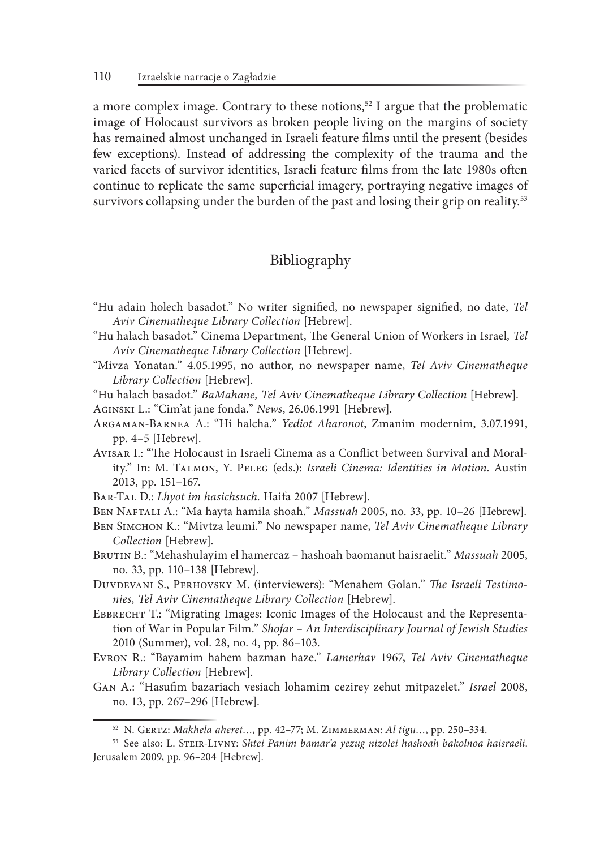a more complex image. Contrary to these notions,<sup>52</sup> I argue that the problematic image of Holocaust survivors as broken people living on the margins of society has remained almost unchanged in Israeli feature films until the present (besides few exceptions). Instead of addressing the complexity of the trauma and the varied facets of survivor identities, Israeli feature films from the late 1980s often continue to replicate the same superficial imagery, portraying negative images of survivors collapsing under the burden of the past and losing their grip on reality.<sup>53</sup>

# Bibliography

- "Hu adain holech basadot." No writer signified, no newspaper signified, no date, *Tel Aviv Cinematheque Library Collection* [Hebrew].
- "Hu halach basadot." Cinema Department, The General Union of Workers in Israel*, Tel Aviv Cinematheque Library Collection* [Hebrew].
- "Mivza Yonatan." 4.05.1995, no author, no newspaper name, *Tel Aviv Cinematheque Library Collection* [Hebrew].
- "Hu halach basadot." *BaMahane, Tel Aviv Cinematheque Library Collection* [Hebrew].
- Aginski L.: "Cim'at jane fonda." *News*, 26.06.1991 [Hebrew].
- Argaman‑Barnea A.: "Hi halcha." *Yediot Aharonot*, Zmanim modernim, 3.07.1991, pp. 4–5 [Hebrew].
- Avisar I.: "The Holocaust in Israeli Cinema as a Conflict between Survival and Morality." In: M. Talmon, Y. Peleg (eds.): *Israeli Cinema: Identities in Motion*. Austin 2013, pp. 151–167.
- Bar‑Tal D.: *Lhyot im hasichsuch*. Haifa 2007 [Hebrew].
- Ben Naftali A.: "Ma hayta hamila shoah." *Massuah* 2005, no. 33, pp. 10–26 [Hebrew].
- Ben Simchon K.: "Mivtza leumi." No newspaper name, *Tel Aviv Cinematheque Library Collection* [Hebrew].
- Brutin B.: "Mehashulayim el hamercaz hashoah baomanut haisraelit." *Massuah* 2005, no. 33, pp. 110–138 [Hebrew].
- Duvdevani S., Perhovsky M. (interviewers): "Menahem Golan." *The Israeli Testimonies, Tel Aviv Cinematheque Library Collection* [Hebrew].
- Ebbrecht T.: "Migrating Images: Iconic Images of the Holocaust and the Representation of War in Popular Film." *Shofar – An Interdisciplinary Journal of Jewish Studies* 2010 (Summer), vol. 28, no. 4, pp. 86–103.
- Evron R.: "Bayamim hahem bazman haze." *Lamerhav* 1967, *Tel Aviv Cinematheque Library Collection* [Hebrew].
- Gan A.: "Hasufim bazariach vesiach lohamim cezirey zehut mitpazelet." *Israel* 2008, no. 13, pp. 267–296 [Hebrew].

<sup>52</sup> N. Gertz: *Makhela aheret…*, pp. 42–77; M. Zimmerman: *Al tigu…*, pp. 250–334.

<sup>53</sup> See also: L. Steir‑Livny: *Shtei Panim bamar'a yezug nizolei hashoah bakolnoa haisraeli*. Jerusalem 2009, pp. 96–204 [Hebrew].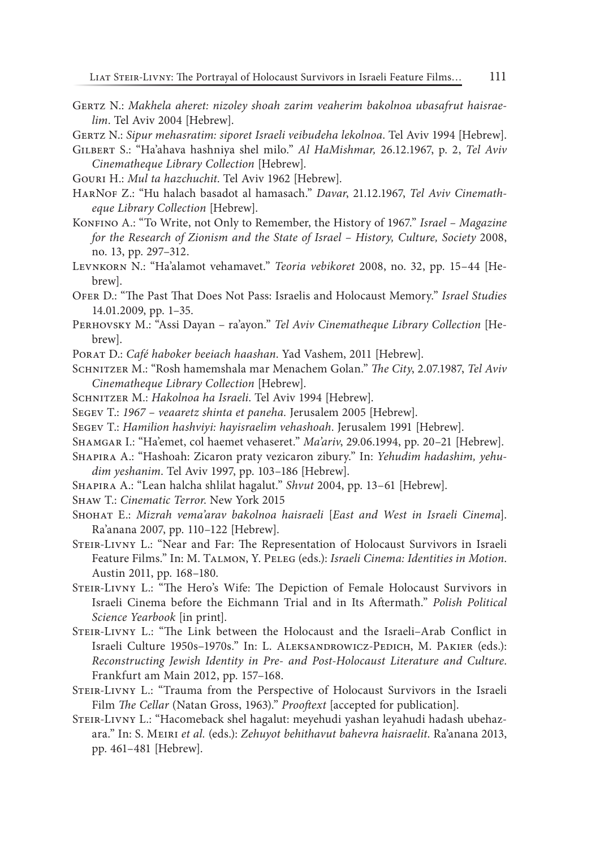GERTZ N.: Makhela aheret: nizoley shoah zarim veaherim bakolnoa ubasafrut haisrae*lim*. Tel Aviv 2004 [Hebrew].

GERTZ N.: Sipur mehasratim: siporet Israeli veibudeha lekolnoa. Tel Aviv 1994 [Hebrew].

- Gilbert S.: "Ha'ahava hashniya shel milo." *Al HaMishmar,* 26.12.1967, p. 2, *Tel Aviv Cinematheque Library Collection* [Hebrew].
- Gouri H.: *Mul ta hazchuchit*. Tel Aviv 1962 [Hebrew].
- HarNof Z.: "Hu halach basadot al hamasach." *Davar*, 21.12.1967, *Tel Aviv Cinematheque Library Collection* [Hebrew].
- KONFINO A.: "To Write, not Only to Remember, the History of 1967." *Israel Magazine for the Research of Zionism and the State of Israel – History, Culture, Society* 2008, no. 13, pp. 297–312.
- Levnkorn N.: "Ha'alamot vehamavet." *Teoria vebikoret* 2008, no. 32, pp. 15–44 [Hebrew].
- Ofer D.: "The Past That Does Not Pass: Israelis and Holocaust Memory." *Israel Studies* 14.01.2009, pp. 1–35.
- Perhovsky M.: "Assi Dayan ra'ayon." *Tel Aviv Cinematheque Library Collection* [Hebrew].
- Porat D.: *Café haboker beeiach haashan*. Yad Vashem, 2011 [Hebrew].
- Schnitzer M.: "Rosh hamemshala mar Menachem Golan." *The City*, 2.07.1987, *Tel Aviv Cinematheque Library Collection* [Hebrew].
- Schnitzer M.: *Hakolnoa ha Israeli*. Tel Aviv 1994 [Hebrew].
- Segev T.: *1967 veaaretz shinta et paneha.* Jerusalem 2005 [Hebrew].
- Segev T.: *Hamilion hashviyi: hayisraelim vehashoah*. Jerusalem 1991 [Hebrew].
- Shamgar I.: "Ha'emet, col haemet vehaseret." *Ma'ariv*, 29.06.1994, pp. 20–21 [Hebrew].
- Shapira A.: "Hashoah: Zicaron praty vezicaron zibury." In: *Yehudim hadashim, yehudim yeshanim*. Tel Aviv 1997, pp. 103–186 [Hebrew].
- Shapira A.: "Lean halcha shlilat hagalut." *Shvut* 2004, pp. 13–61 [Hebrew].
- Shaw T.: *Cinematic Terror*. New York 2015
- Shohat E.: *Mizrah vema'arav bakolnoa haisraeli* [*East and West in Israeli Cinema*]. Ra'anana 2007, pp. 110–122 [Hebrew].
- Steir‑Livny L.: "Near and Far: The Representation of Holocaust Survivors in Israeli Feature Films." In: M. Talmon, Y. Peleg (eds.): *Israeli Cinema: Identities in Motion*. Austin 2011, pp. 168–180.
- STEIR-LIVNY L.: "The Hero's Wife: The Depiction of Female Holocaust Survivors in Israeli Cinema before the Eichmann Trial and in Its Aftermath." *Polish Political Science Yearbook* [in print].
- Steir‑Livny L.: "The Link between the Holocaust and the Israeli–Arab Conflict in Israeli Culture 1950s–1970s." In: L. Aleksandrowicz‑Pedich, M. Pakier (eds.): *Reconstructing Jewish Identity in Pre‑ and Post‑Holocaust Literature and Culture*. Frankfurt am Main 2012, pp. 157–168.
- Steir‑Livny L.: "Trauma from the Perspective of Holocaust Survivors in the Israeli Film *The Cellar* (Natan Gross, 1963)." *Prooftext* [accepted for publication].
- Steir‑Livny L.: "Hacomeback shel hagalut: meyehudi yashan leyahudi hadash ubehazara." In: S. Meiri *et al.* (eds.): *Zehuyot behithavut bahevra haisraelit*. Ra'anana 2013, pp. 461–481 [Hebrew].